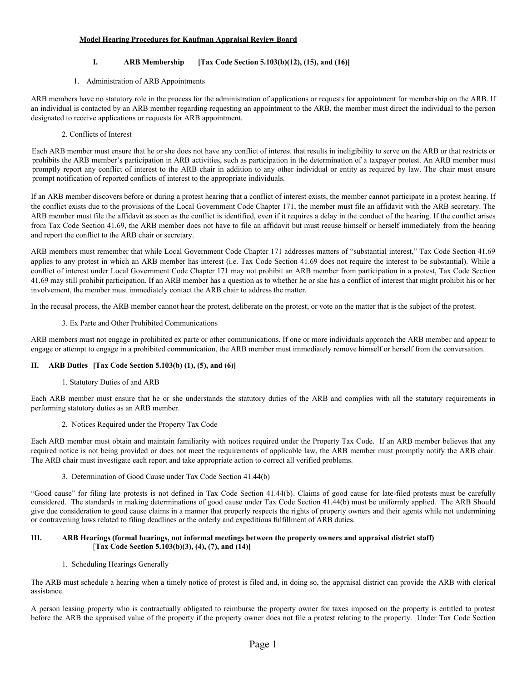## **Model Hearing Procedures for Kaufman Appraisal Review Board**

## **I. ARB Membership [Tax Code Section 5.103(b)(12), (15), and (16)]**

#### 1. Administration of ARB Appointments

ARB members have no statutory role in the process for the administration of applications or requests for appointment for membership on the ARB. If an individual is contacted by an ARB member regarding requesting an appointment to the ARB, the member must direct the individual to the person designated to receive applications or requests for ARB appointment.

2. Conflicts of Interest

Each ARB member must ensure that he or she does not have any conflict of interest that results in ineligibility to serve on the ARB or that restricts or prohibits the ARB member's participation in ARB activities, such as participation in the determination of a taxpayer protest. An ARB member must promptly report any conflict of interest to the ARB chair in addition to any other individual or entity as required by law. The chair must ensure prompt notification of reported conflicts of interest to the appropriate individuals.

If an ARB member discovers before or during a protest hearing that a conflict of interest exists, the member cannot participate in a protest hearing. If the conflict exists due to the provisions of the Local Government Code Chapter 171, the member must file an affidavit with the ARB secretary. The ARB member must file the affidavit as soon as the conflict is identified, even if it requires a delay in the conduct of the hearing. If the conflict arises from Tax Code Section 41.69, the ARB member does not have to file an affidavit but must recuse himself or herself immediately from the hearing and report the conflict to the ARB chair or secretary.

ARB members must remember that while Local Government Code Chapter 171 addresses matters of "substantial interest," Tax Code Section 41.69 applies to any protest in which an ARB member has interest (i.e. Tax Code Section 41.69 does not require the interest to be substantial). While a conflict of interest under Local Government Code Chapter 171 may not prohibit an ARB member from participation in a protest, Tax Code Section 41.69 may still prohibit participation. If an ARB member has a question as to whether he or she has a conflict of interest that might prohibit his or her involvement, the member must immediately contact the ARB chair to address the matter.

In the recusal process, the ARB member cannot hear the protest, deliberate on the protest, or vote on the matter that is the subject of the protest.

## 3. Ex Parte and Other Prohibited Communications

ARB members must not engage in prohibited ex parte or other communications. If one or more individuals approach the ARB member and appear to engage or attempt to engage in a prohibited communication, the ARB member must immediately remove himself or herself from the conversation.

## **II. ARB Duties [Tax Code Section 5.103(b) (1), (5), and (6)]**

1. Statutory Duties of and ARB

Each ARB member must ensure that he or she understands the statutory duties of the ARB and complies with all the statutory requirements in performing statutory duties as an ARB member.

2. Notices Required under the Property Tax Code

Each ARB member must obtain and maintain familiarity with notices required under the Property Tax Code. If an ARB member believes that any required notice is not being provided or does not meet the requirements of applicable law, the ARB member must promptly notify the ARB chair. The ARB chair must investigate each report and take appropriate action to correct all verified problems.

3. Determination of Good Cause under Tax Code Section 41.44(b)

"Good cause" for filing late protests is not defined in Tax Code Section 41.44(b). Claims of good cause for late-filed protests must be carefully considered. The standards in making determinations of good cause under Tax Code Section 41.44(b) must be uniformly applied. The ARB Should give due consideration to good cause claims in a manner that properly respects the rights of property owners and their agents while not undermining or contravening laws related to filing deadlines or the orderly and expeditious fulfillment of ARB duties.

### **III. ARB Hearings (formal hearings, not informal meetings between the property owners and appraisal district staff)** [**Tax Code Section 5.103(b)(3), (4), (7), and (14)]**

1. Scheduling Hearings Generally

The ARB must schedule a hearing when a timely notice of protest is filed and, in doing so, the appraisal district can provide the ARB with clerical assistance.

A person leasing property who is contractually obligated to reimburse the property owner for taxes imposed on the property is entitled to protest before the ARB the appraised value of the property if the property owner does not file a protest relating to the property. Under Tax Code Section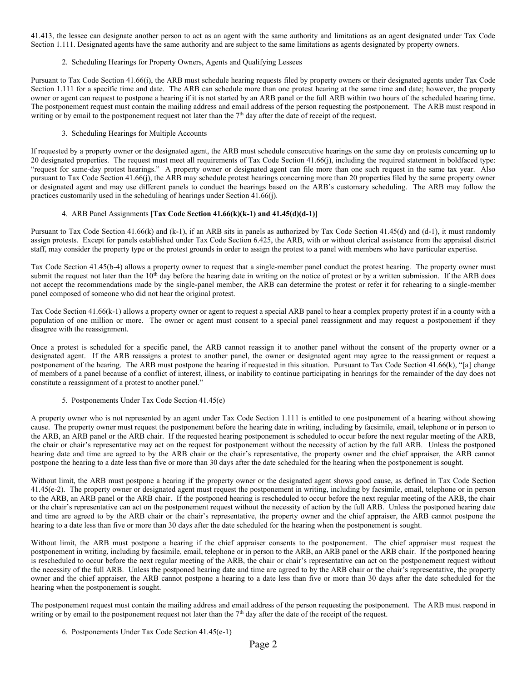41.413, the lessee can designate another person to act as an agent with the same authority and limitations as an agent designated under Tax Code Section 1.111. Designated agents have the same authority and are subject to the same limitations as agents designated by property owners.

### 2. Scheduling Hearings for Property Owners, Agents and Qualifying Lessees

Pursuant to Tax Code Section 41.66(i), the ARB must schedule hearing requests filed by property owners or their designated agents under Tax Code Section 1.111 for a specific time and date. The ARB can schedule more than one protest hearing at the same time and date; however, the property owner or agent can request to postpone a hearing if it is not started by an ARB panel or the full ARB within two hours of the scheduled hearing time. The postponement request must contain the mailing address and email address of the person requesting the postponement. The ARB must respond in writing or by email to the postponement request not later than the  $7<sup>th</sup>$  day after the date of receipt of the request.

### 3. Scheduling Hearings for Multiple Accounts

If requested by a property owner or the designated agent, the ARB must schedule consecutive hearings on the same day on protests concerning up to 20 designated properties. The request must meet all requirements of Tax Code Section 41.66(j), including the required statement in boldfaced type: "request for same-day protest hearings." A property owner or designated agent can file more than one such request in the same tax year. Also pursuant to Tax Code Section 41.66(j), the ARB may schedule protest hearings concerning more than 20 properties filed by the same property owner or designated agent and may use different panels to conduct the hearings based on the ARB's customary scheduling. The ARB may follow the practices customarily used in the scheduling of hearings under Section 41.66(j).

### 4. ARB Panel Assignments **[Tax Code Section 41.66(k)(k-1) and 41.45(d)(d-1)]**

Pursuant to Tax Code Section 41.66(k) and (k-1), if an ARB sits in panels as authorized by Tax Code Section 41.45(d) and (d-1), it must randomly assign protests. Except for panels established under Tax Code Section 6.425, the ARB, with or without clerical assistance from the appraisal district staff, may consider the property type or the protest grounds in order to assign the protest to a panel with members who have particular expertise.

Tax Code Section 41.45(b-4) allows a property owner to request that a single-member panel conduct the protest hearing. The property owner must submit the request not later than the  $10<sup>th</sup>$  day before the hearing date in writing on the notice of protest or by a written submission. If the ARB does not accept the recommendations made by the single-panel member, the ARB can determine the protest or refer it for rehearing to a single-member panel composed of someone who did not hear the original protest.

Tax Code Section 41.66(k-1) allows a property owner or agent to request a special ARB panel to hear a complex property protest if in a county with a population of one million or more. The owner or agent must consent to a special panel reassignment and may request a postponement if they disagree with the reassignment.

Once a protest is scheduled for a specific panel, the ARB cannot reassign it to another panel without the consent of the property owner or a designated agent. If the ARB reassigns a protest to another panel, the owner or designated agent may agree to the reassignment or request a postponement of the hearing. The ARB must postpone the hearing if requested in this situation. Pursuant to Tax Code Section 41.66(k), "[a] change of members of a panel because of a conflict of interest, illness, or inability to continue participating in hearings for the remainder of the day does not constitute a reassignment of a protest to another panel."

5. Postponements Under Tax Code Section 41.45(e)

A property owner who is not represented by an agent under Tax Code Section 1.111 is entitled to one postponement of a hearing without showing cause. The property owner must request the postponement before the hearing date in writing, including by facsimile, email, telephone or in person to the ARB, an ARB panel or the ARB chair. If the requested hearing postponement is scheduled to occur before the next regular meeting of the ARB, the chair or chair's representative may act on the request for postponement without the necessity of action by the full ARB. Unless the postponed hearing date and time are agreed to by the ARB chair or the chair's representative, the property owner and the chief appraiser, the ARB cannot postpone the hearing to a date less than five or more than 30 days after the date scheduled for the hearing when the postponement is sought.

Without limit, the ARB must postpone a hearing if the property owner or the designated agent shows good cause, as defined in Tax Code Section 41.45(e-2). The property owner or designated agent must request the postponement in writing, including by facsimile, email, telephone or in person to the ARB, an ARB panel or the ARB chair. If the postponed hearing is rescheduled to occur before the next regular meeting of the ARB, the chair or the chair's representative can act on the postponement request without the necessity of action by the full ARB. Unless the postponed hearing date and time are agreed to by the ARB chair or the chair's representative, the property owner and the chief appraiser, the ARB cannot postpone the hearing to a date less than five or more than 30 days after the date scheduled for the hearing when the postponement is sought.

Without limit, the ARB must postpone a hearing if the chief appraiser consents to the postponement. The chief appraiser must request the postponement in writing, including by facsimile, email, telephone or in person to the ARB, an ARB panel or the ARB chair. If the postponed hearing is rescheduled to occur before the next regular meeting of the ARB, the chair or chair's representative can act on the postponement request without the necessity of the full ARB. Unless the postponed hearing date and time are agreed to by the ARB chair or the chair's representative, the property owner and the chief appraiser, the ARB cannot postpone a hearing to a date less than five or more than 30 days after the date scheduled for the hearing when the postponement is sought.

The postponement request must contain the mailing address and email address of the person requesting the postponement. The ARB must respond in writing or by email to the postponement request not later than the 7<sup>th</sup> day after the date of the receipt of the request.

6. Postponements Under Tax Code Section 41.45(e-1)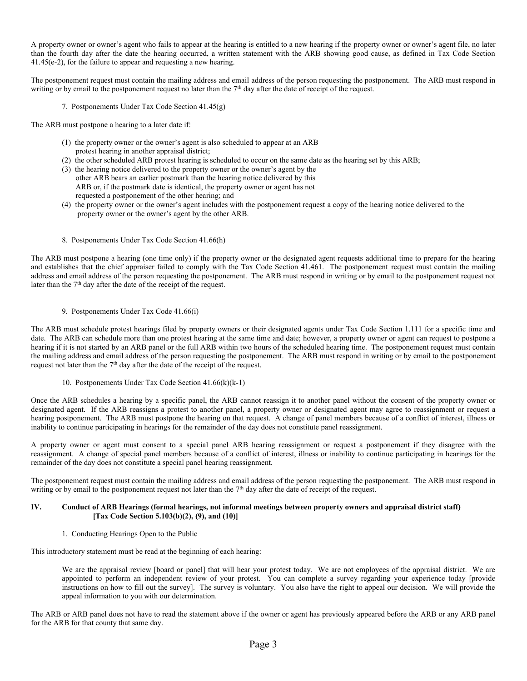A property owner or owner's agent who fails to appear at the hearing is entitled to a new hearing if the property owner or owner's agent file, no later than the fourth day after the date the hearing occurred, a written statement with the ARB showing good cause, as defined in Tax Code Section 41.45(e-2), for the failure to appear and requesting a new hearing.

The postponement request must contain the mailing address and email address of the person requesting the postponement. The ARB must respond in writing or by email to the postponement request no later than the  $7<sup>th</sup>$  day after the date of receipt of the request.

7. Postponements Under Tax Code Section 41.45(g)

The ARB must postpone a hearing to a later date if:

- (1) the property owner or the owner's agent is also scheduled to appear at an ARB protest hearing in another appraisal district;
- (2) the other scheduled ARB protest hearing is scheduled to occur on the same date as the hearing set by this ARB;
- (3) the hearing notice delivered to the property owner or the owner's agent by the other ARB bears an earlier postmark than the hearing notice delivered by this ARB or, if the postmark date is identical, the property owner or agent has not requested a postponement of the other hearing; and
- (4) the property owner or the owner's agent includes with the postponement request a copy of the hearing notice delivered to the property owner or the owner's agent by the other ARB.
- 8. Postponements Under Tax Code Section 41.66(h)

The ARB must postpone a hearing (one time only) if the property owner or the designated agent requests additional time to prepare for the hearing and establishes that the chief appraiser failed to comply with the Tax Code Section 41.461. The postponement request must contain the mailing address and email address of the person requesting the postponement. The ARB must respond in writing or by email to the postponement request not later than the  $7<sup>th</sup>$  day after the date of the receipt of the request.

9. Postponements Under Tax Code 41.66(i)

The ARB must schedule protest hearings filed by property owners or their designated agents under Tax Code Section 1.111 for a specific time and date. The ARB can schedule more than one protest hearing at the same time and date; however, a property owner or agent can request to postpone a hearing if it is not started by an ARB panel or the full ARB within two hours of the scheduled hearing time. The postponement request must contain the mailing address and email address of the person requesting the postponement. The ARB must respond in writing or by email to the postponement request not later than the  $7<sup>th</sup>$  day after the date of the receipt of the request.

10. Postponements Under Tax Code Section 41.66(k)(k-1)

Once the ARB schedules a hearing by a specific panel, the ARB cannot reassign it to another panel without the consent of the property owner or designated agent. If the ARB reassigns a protest to another panel, a property owner or designated agent may agree to reassignment or request a hearing postponement. The ARB must postpone the hearing on that request. A change of panel members because of a conflict of interest, illness or inability to continue participating in hearings for the remainder of the day does not constitute panel reassignment.

A property owner or agent must consent to a special panel ARB hearing reassignment or request a postponement if they disagree with the reassignment. A change of special panel members because of a conflict of interest, illness or inability to continue participating in hearings for the remainder of the day does not constitute a special panel hearing reassignment.

The postponement request must contain the mailing address and email address of the person requesting the postponement. The ARB must respond in writing or by email to the postponement request not later than the 7<sup>th</sup> day after the date of receipt of the request.

### **IV. Conduct of ARB Hearings (formal hearings, not informal meetings between property owners and appraisal district staff) [Tax Code Section 5.103(b)(2), (9), and (10)]**

1. Conducting Hearings Open to the Public

This introductory statement must be read at the beginning of each hearing:

We are the appraisal review [board or panel] that will hear your protest today. We are not employees of the appraisal district. We are appointed to perform an independent review of your protest. You can complete a survey regarding your experience today [provide instructions on how to fill out the survey]. The survey is voluntary. You also have the right to appeal our decision. We will provide the appeal information to you with our determination.

The ARB or ARB panel does not have to read the statement above if the owner or agent has previously appeared before the ARB or any ARB panel for the ARB for that county that same day.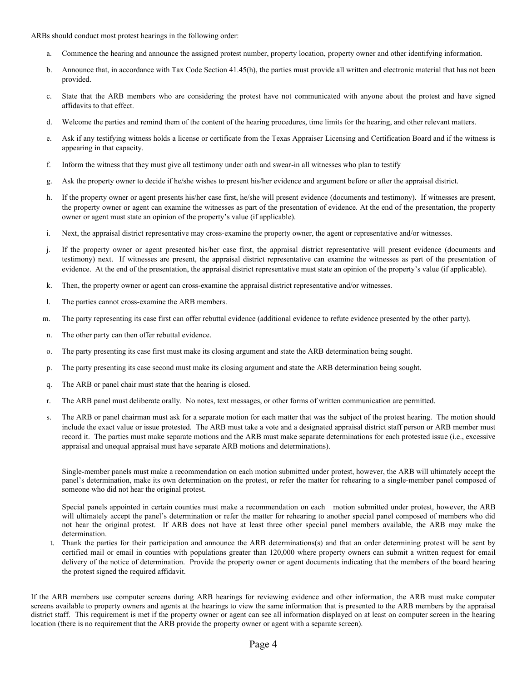ARBs should conduct most protest hearings in the following order:

- a. Commence the hearing and announce the assigned protest number, property location, property owner and other identifying information.
- b. Announce that, in accordance with Tax Code Section 41.45(h), the parties must provide all written and electronic material that has not been provided.
- c. State that the ARB members who are considering the protest have not communicated with anyone about the protest and have signed affidavits to that effect.
- d. Welcome the parties and remind them of the content of the hearing procedures, time limits for the hearing, and other relevant matters.
- e. Ask if any testifying witness holds a license or certificate from the Texas Appraiser Licensing and Certification Board and if the witness is appearing in that capacity.
- f. Inform the witness that they must give all testimony under oath and swear-in all witnesses who plan to testify
- g. Ask the property owner to decide if he/she wishes to present his/her evidence and argument before or after the appraisal district.
- h. If the property owner or agent presents his/her case first, he/she will present evidence (documents and testimony). If witnesses are present, the property owner or agent can examine the witnesses as part of the presentation of evidence. At the end of the presentation, the property owner or agent must state an opinion of the property's value (if applicable).
- i. Next, the appraisal district representative may cross-examine the property owner, the agent or representative and/or witnesses.
- j. If the property owner or agent presented his/her case first, the appraisal district representative will present evidence (documents and testimony) next. If witnesses are present, the appraisal district representative can examine the witnesses as part of the presentation of evidence. At the end of the presentation, the appraisal district representative must state an opinion of the property's value (if applicable).
- k. Then, the property owner or agent can cross-examine the appraisal district representative and/or witnesses.
- l. The parties cannot cross-examine the ARB members.
- m. The party representing its case first can offer rebuttal evidence (additional evidence to refute evidence presented by the other party).
- n. The other party can then offer rebuttal evidence.
- o. The party presenting its case first must make its closing argument and state the ARB determination being sought.
- p. The party presenting its case second must make its closing argument and state the ARB determination being sought.
- q. The ARB or panel chair must state that the hearing is closed.
- r. The ARB panel must deliberate orally. No notes, text messages, or other forms of written communication are permitted.
- s. The ARB or panel chairman must ask for a separate motion for each matter that was the subject of the protest hearing. The motion should include the exact value or issue protested. The ARB must take a vote and a designated appraisal district staff person or ARB member must record it. The parties must make separate motions and the ARB must make separate determinations for each protested issue (i.e., excessive appraisal and unequal appraisal must have separate ARB motions and determinations).

Single-member panels must make a recommendation on each motion submitted under protest, however, the ARB will ultimately accept the panel's determination, make its own determination on the protest, or refer the matter for rehearing to a single-member panel composed of someone who did not hear the original protest.

Special panels appointed in certain counties must make a recommendation on each motion submitted under protest, however, the ARB will ultimately accept the panel's determination or refer the matter for rehearing to another special panel composed of members who did not hear the original protest. If ARB does not have at least three other special panel members available, the ARB may make the determination.

t. Thank the parties for their participation and announce the ARB determinations(s) and that an order determining protest will be sent by certified mail or email in counties with populations greater than 120,000 where property owners can submit a written request for email delivery of the notice of determination. Provide the property owner or agent documents indicating that the members of the board hearing the protest signed the required affidavit.

If the ARB members use computer screens during ARB hearings for reviewing evidence and other information, the ARB must make computer screens available to property owners and agents at the hearings to view the same information that is presented to the ARB members by the appraisal district staff. This requirement is met if the property owner or agent can see all information displayed on at least on computer screen in the hearing location (there is no requirement that the ARB provide the property owner or agent with a separate screen).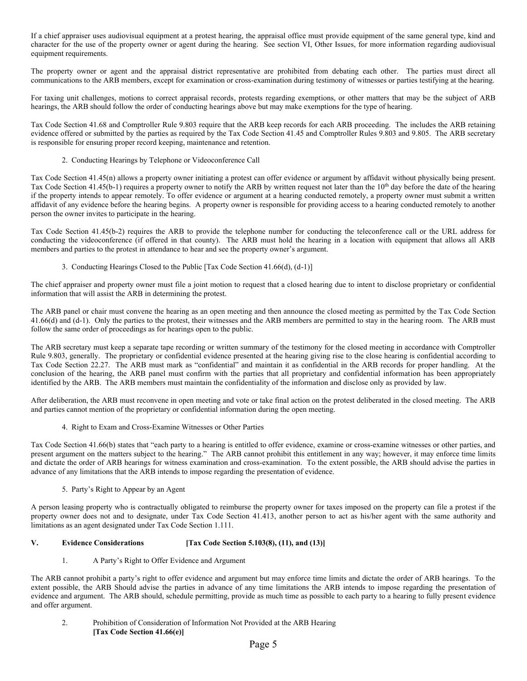If a chief appraiser uses audiovisual equipment at a protest hearing, the appraisal office must provide equipment of the same general type, kind and character for the use of the property owner or agent during the hearing. See section VI, Other Issues, for more information regarding audiovisual equipment requirements.

The property owner or agent and the appraisal district representative are prohibited from debating each other. The parties must direct all communications to the ARB members, except for examination or cross-examination during testimony of witnesses or parties testifying at the hearing.

For taxing unit challenges, motions to correct appraisal records, protests regarding exemptions, or other matters that may be the subject of ARB hearings, the ARB should follow the order of conducting hearings above but may make exemptions for the type of hearing.

Tax Code Section 41.68 and Comptroller Rule 9.803 require that the ARB keep records for each ARB proceeding. The includes the ARB retaining evidence offered or submitted by the parties as required by the Tax Code Section 41.45 and Comptroller Rules 9.803 and 9.805. The ARB secretary is responsible for ensuring proper record keeping, maintenance and retention.

2. Conducting Hearings by Telephone or Videoconference Call

Tax Code Section 41.45(n) allows a property owner initiating a protest can offer evidence or argument by affidavit without physically being present. Tax Code Section 41.45(b-1) requires a property owner to notify the ARB by written request not later than the 10<sup>th</sup> day before the date of the hearing if the property intends to appear remotely. To offer evidence or argument at a hearing conducted remotely, a property owner must submit a written affidavit of any evidence before the hearing begins. A property owner is responsible for providing access to a hearing conducted remotely to another person the owner invites to participate in the hearing.

Tax Code Section 41.45(b-2) requires the ARB to provide the telephone number for conducting the teleconference call or the URL address for conducting the videoconference (if offered in that county). The ARB must hold the hearing in a location with equipment that allows all ARB members and parties to the protest in attendance to hear and see the property owner's argument.

3. Conducting Hearings Closed to the Public [Tax Code Section 41.66(d), (d-1)]

The chief appraiser and property owner must file a joint motion to request that a closed hearing due to intent to disclose proprietary or confidential information that will assist the ARB in determining the protest.

The ARB panel or chair must convene the hearing as an open meeting and then announce the closed meeting as permitted by the Tax Code Section 41.66(d) and (d-1). Only the parties to the protest, their witnesses and the ARB members are permitted to stay in the hearing room. The ARB must follow the same order of proceedings as for hearings open to the public.

The ARB secretary must keep a separate tape recording or written summary of the testimony for the closed meeting in accordance with Comptroller Rule 9.803, generally. The proprietary or confidential evidence presented at the hearing giving rise to the close hearing is confidential according to Tax Code Section 22.27. The ARB must mark as "confidential" and maintain it as confidential in the ARB records for proper handling. At the conclusion of the hearing, the ARB panel must confirm with the parties that all proprietary and confidential information has been appropriately identified by the ARB. The ARB members must maintain the confidentiality of the information and disclose only as provided by law.

After deliberation, the ARB must reconvene in open meeting and vote or take final action on the protest deliberated in the closed meeting. The ARB and parties cannot mention of the proprietary or confidential information during the open meeting.

4. Right to Exam and Cross-Examine Witnesses or Other Parties

Tax Code Section 41.66(b) states that "each party to a hearing is entitled to offer evidence, examine or cross-examine witnesses or other parties, and present argument on the matters subject to the hearing." The ARB cannot prohibit this entitlement in any way; however, it may enforce time limits and dictate the order of ARB hearings for witness examination and cross-examination. To the extent possible, the ARB should advise the parties in advance of any limitations that the ARB intends to impose regarding the presentation of evidence.

## 5. Party's Right to Appear by an Agent

A person leasing property who is contractually obligated to reimburse the property owner for taxes imposed on the property can file a protest if the property owner does not and to designate, under Tax Code Section 41.413, another person to act as his/her agent with the same authority and limitations as an agent designated under Tax Code Section 1.111.

## **V. Evidence Considerations [Tax Code Section 5.103(8), (11), and (13)]**

## 1. A Party's Right to Offer Evidence and Argument

The ARB cannot prohibit a party's right to offer evidence and argument but may enforce time limits and dictate the order of ARB hearings. To the extent possible, the ARB Should advise the parties in advance of any time limitations the ARB intends to impose regarding the presentation of evidence and argument. The ARB should, schedule permitting, provide as much time as possible to each party to a hearing to fully present evidence and offer argument.

2. Prohibition of Consideration of Information Not Provided at the ARB Hearing **[Tax Code Section 41.66(e)]**